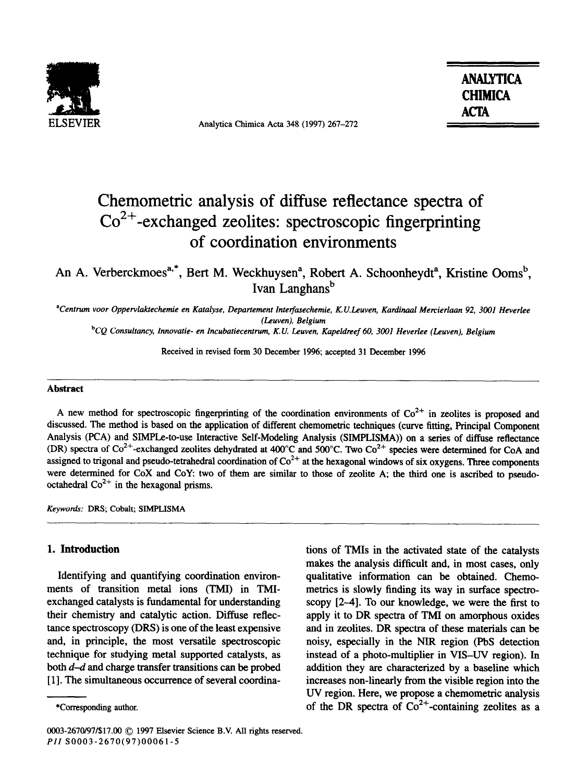

Analytica Chimica Acta 348 (1997) 267-272

ANALYTICA **CHIMICA ACT4** 

# Chemometric analysis of diffuse reflectance spectra of  $Co<sup>2+</sup>$ -exchanged zeolites: spectroscopic fingerprinting of coordination environments

An A. Verberckmoes<sup>a,\*</sup>, Bert M. Weckhuysen<sup>a</sup>, Robert A. Schoonheydt<sup>a</sup>, Kristine Ooms<sup>b</sup>, Ivan Langhans<sup>b</sup>

*'Centrum vwr Oppewlaktechemie en Katalyse. Departement Interfasechemie, K.V.Leuven, Kaniinaal Mercierlaan 92, 3001 Heverlee (Leuven), Belgium* 

bCQ Consultancy, Innovatie- en *lncubatiecentrum, K.V. Leuven, Kapeldmef 60, 3001 Heverlee (Leuven), Belgium* 

Received in revised form 30 December 1996; accepted 31 December 1996

#### **Abstract**

A new method for spectroscopic fingerprinting of the coordination environments of  $Co^{2+}$  in zeolites is proposed and discussed. The method is based on the application of different chemometric techniques (curve fitting, Principal Component Analysis (PCA) and SIMPLe-to-use Interactive Self-Modeling Analysis (SIMPLISMA)) on a series of diffuse reflectance (DR) spectra of  $Co^{2+}$ -exchanged zeolites dehydrated at 400°C and 500°C. Two Co<sup>2+</sup> species were determined for CoA and assigned to trigonal and pseudo-tetrahedral coordination of  $Co^{2+}$  at the hexagonal windows of six oxygens. Three components were determined for CoX and CoY: two of them are similar to those of zeolite A; the third one is ascribed to pseudooctahedral  $Co^{2+}$  in the hexagonal prisms.

*Keywords:* DRS; Cobalt; SIMPLISMA

## **1. Introduction**

Identifying and quantifying coordination environments of transition metal ions (TMI) in TMIexchanged catalysts is fundamental for understanding their chemistry and catalytic action. Diffuse reflectance spectroscopy (DRS) is one of the least expensive and, in principle, the most versatile spectroscopic technique for studying metal supported catalysts, as both *d-d* and charge transfer transitions can be probed [1]. The simultaneous occurrence of several coordina-

tions of TMIs in the activated state of the catalysts makes the analysis difficult and, in most cases, only qualitative information can be obtained. Chemometrics is slowly finding its way in surface spectroscopy [2-4]. To our knowledge, we were the first to apply it to DR spectra of TMI on amorphous oxides and in zeolites. DR spectra of these materials can be noisy, especially in the NIR region (PbS detection instead of a photo-multiplier in *VIS-W* region). In addition they are characterized by a baseline which increases non-linearly from the visible region into the UV region. Here, we propose a chemometric analysis of the DR spectra of  $Co<sup>2+</sup>$ -containing zeolites as a

<sup>\*</sup>Corresponding author.

<sup>0003-2670/97/\$17.00</sup> C 1997 Elsevier Science B.V. All rights reserved. PII SOOO3-2670(97)00061-5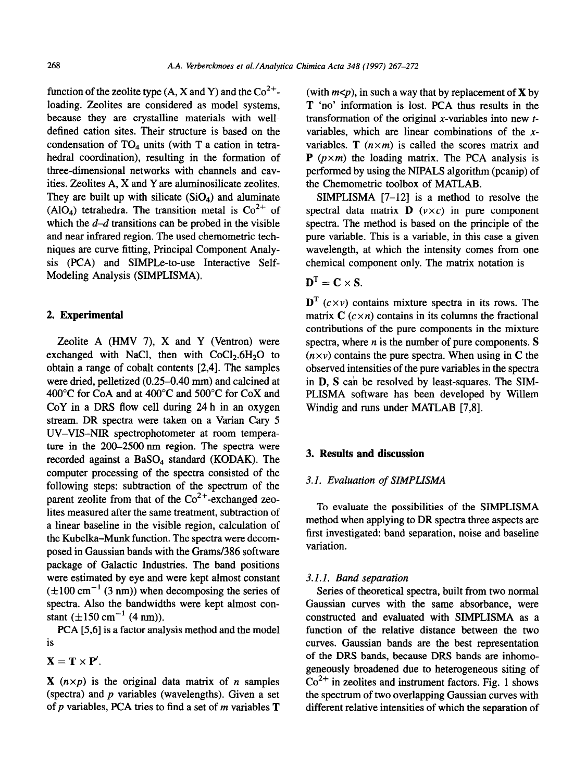function of the zeolite type  $(A, X \text{ and } Y)$  and the  $Co^{2+}$ loading. Zeolites are considered as model systems, because they are crystalline materials with welldefined cation sites. Their structure is based on the condensation of  $TO<sub>4</sub>$  units (with T a cation in tetrahedral coordination), resulting in the formation of three-dimensional networks with channels and cavities. Zeolites A, X and Y are aluminosilicate zeolites. They are built up with silicate  $(SiO<sub>4</sub>)$  and aluminate (AlO<sub>4</sub>) tetrahedra. The transition metal is  $Co^{2+}$  of which the *d-d* transitions can be probed in the visible and near infrared region. The used chemometric techniques are curve fitting, Principal Component Analysis (PCA) and SIMPLe-to-use Interactive Self-Modeling Analysis (SIMPLISMA).

### 2. **Experimental**

Zeolite A (HMV 7), X and Y (Ventron) were exchanged with NaCl, then with  $CoCl<sub>2</sub>.6H<sub>2</sub>O$  to obtain a range of cobalt contents [2,4]. The samples were dried, pelletized (0.25-0.40 mm) and calcined at 400°C for CoA and at 400°C and 500°C for CoX and  $CoY$  in a DRS flow cell during 24 h in an oxygen stream. DR spectra were taken on a Varian Cary 5 UV-VIS-NIR spectrophotometer at room temperature in the 200-2500 nm region. The spectra were recorded against a BaS04 standard (KODAK). The computer processing of the spectra consisted of the following steps: subtraction of the spectrum of the parent zeolite from that of the  $Co^{2+}$ -exchanged zeolites measured after the same treatment, subtraction of a linear baseline in the visible region, calculation of the Kubelka-Munk function. The spectra were decomposed in Gaussian bands with the Grams/386 software package of Galactic Industries. The band positions were estimated by eye and were kept almost constant  $(\pm 100 \text{ cm}^{-1} (3 \text{ nm}))$  when decomposing the series of spectra. Also the bandwidths were kept almost constant  $(\pm 150 \text{ cm}^{-1} (4 \text{ nm})).$ 

PCA [5,6] is a factor analysis method and the model is

 $X = T \times P'$ .

 $X(n \times p)$  is the original data matrix of *n* samples (spectra) and  $p$  variables (wavelengths). Given a set of p variables, PCA tries to find a set of *m* variables **T** 

(with  $m < p$ ), in such a way that by replacement of **X** by **T** 'no' information is lost. PCA thus results in the transformation of the original x-variables into new  $t$ variables, which are linear combinations of the  $x$ variables. **T**  $(n \times m)$  is called the scores matrix and **P**  $(p \times m)$  the loading matrix. The PCA analysis is performed by using the NIPALS algorithm (pcanip) of the Chemometric toolbox of MATLAB.

SIMPLISMA  $[7-12]$  is a method to resolve the spectral data matrix  $\mathbf{D}$  ( $v \times c$ ) in pure component spectra. The method is based on the principle of the pure variable. This is a variable, in this case a given wavelength, at which the intensity comes from one chemical component only. The matrix notation is

$$
\mathbf{D}^{\mathrm{T}}=\mathbf{C}\times\mathbf{S}.
$$

 $\mathbf{D}^{\mathrm{T}}$  ( $c \times v$ ) contains mixture spectra in its rows. The matrix  $C$  ( $c \times n$ ) contains in its columns the fractional contributions of the pure components in the mixture spectra, where  $n$  is the number of pure components.  $S$  $(n \times v)$  contains the pure spectra. When using in C the observed intensities of the pure variables in the spectra in **D, S** can be resolved by least-squares. The SIM-PLISMA software has been developed by Willem Windig and runs under MATLAB [7,8].

#### 3. **Results and discussion**

#### **3.1.** *Evaluation of SIMPLISMA*

To evaluate the possibilities of the SIMPLISMA method when applying to DR spectra three aspects are first investigated: band separation, noise and baseline variation.

#### 3.1.1. *Band separation*

*Series* of theoretical spectra, built from two normal Gaussian curves with the same absorbance, were constructed and evaluated with SIMPLISMA as a function of the relative distance between the two curves. Gaussian bands are the best representation of the DRS bands, because DRS bands are inhomogeneously broadened due to heterogeneous siting of  $Co<sup>2+</sup>$  in zeolites and instrument factors. Fig. 1 shows the spectrum of two overlapping Gaussian curves with different relative intensities of which the separation of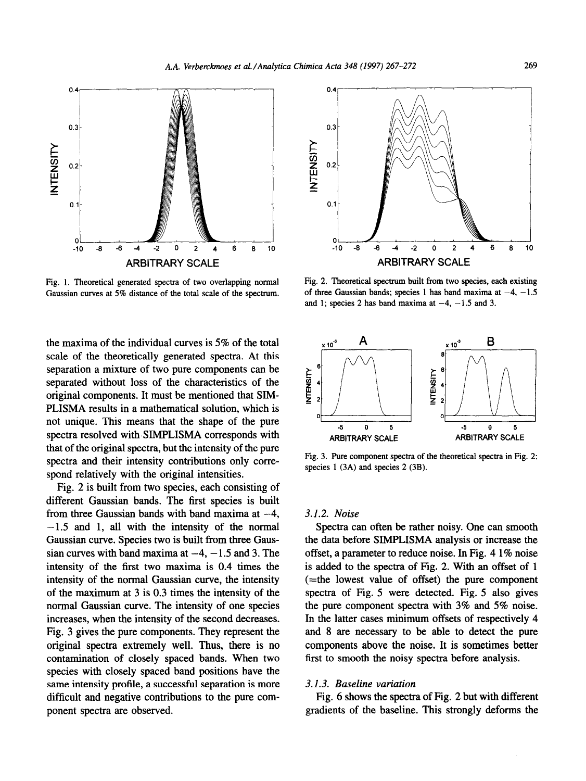

Fig. 1. Theoretical generated spectra of two overlapping normal Gaussian curves at 5% distance of the total scale of the spectrum.

the maxima of the individual curves is 5% of the total scale of the theoretically generated spectra. At this separation a mixture of two pure components can be separated without loss of the characteristics of the original components. It must be mentioned that SIM-PLISMA results in a mathematical solution, which is not unique. This means that the shape of the pure spectra resolved with SIMPLISMA corresponds with that of the original spectra, but the intensity of the pure spectra and their intensity contributions only correspond relatively with the original intensities.

Fig. 2 is built from two species, each consisting of different Gaussian bands. The first species is built from three Gaussian bands with band maxima at  $-4$ ,  $-1.5$  and 1, all with the intensity of the normal Gaussian curve. Species two is built from three Gaussian curves with band maxima at  $-4$ ,  $-1.5$  and 3. The intensity of the first two maxima is 0.4 times the intensity of the normal Gaussian curve, the intensity of the maximum at 3 is 0.3 times the intensity of the normal Gaussian curve. The intensity of one species increases, when the intensity of the second decreases. Fig. 3 gives the pure components. They represent the original spectra extremely well. Thus, there is no contamination of closely spaced bands. When two species with closely spaced band positions have the same intensity profile, a successful separation is more difficult and negative contributions to the pure component spectra are observed.



Fig. 2. Theoretical spectrum built from two species, each existing of three Gaussian bands; species 1 has band maxima at  $-4$ ,  $-1.5$ and 1; species 2 has band maxima at  $-4$ ,  $-1.5$  and 3.



Fig. 3. Pure component spectra of the theoretical spectra in Fig. 2: species 1 (3A) and species 2 (3B).

#### 3.1.2. *Noise*

Spectra can often be rather noisy. One can smooth the data before SIMPLISMA analysis or increase the offset, a parameter to reduce noise. In Fig. 4 1% noise is added to the spectra of Fig. 2. With an offset of 1 (=the lowest value of offset) the pure component spectra of Fig. 5 were detected. Fig. 5 also gives the pure component spectra with 3% and 5% noise. In the latter cases minimum offsets of respectively 4 and 8 are necessary to be able to detect the pure components above the noise. It is sometimes better first to smooth the noisy spectra before analysis.

#### 3.1.3. *Baseline variation*

Fig. 6 shows the spectra of Fig. 2 but with different gradients of the baseline. This strongly deforms the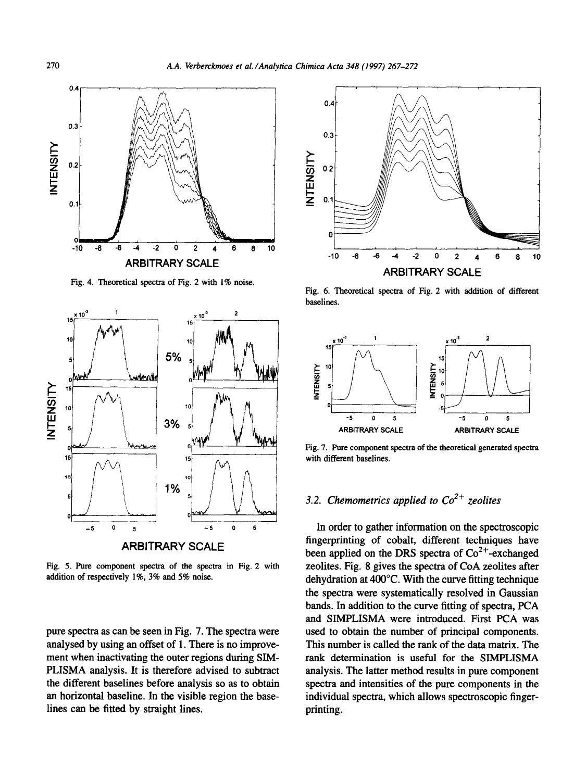

Fig. 4. Theoretical spectra of Fig. 2 with 1% noise.



Fig. 5. Pure component spectra of the spectra in Fig. 2 with addition of respectively l%, 3% and 5% noise.

pure spectra as can be seen in Fig. 7. The spectra were analysed by using an offset of 1. There is no improvement when inactivating the outer regions during SIM-PLISMA analysis. It is therefore advised to subtract the different baselines before analysis so as to obtain an horizontal baseline. In the visible region the baselines can be fitted by straight lines.



Fig. 6. Theoretical spectra of Fig. 2 with addition of different baselines.



Fig. 7. Pure component spectra of the theoretical generated spectra with different baselines.

# 3.2. Chemometrics applied to  $\text{Co}^{2+}$  zeolites

In order to gather information on the spectroscopic fingerprinting of cobalt, different techniques have been applied on the DRS spectra of  $Co<sup>2+</sup>$ -exchanged zeolites. Fig. 8 gives the spectra of CoA zeolites after dehydration at 400°C. With the curve fitting technique the spectra were systematically resolved in Gaussian bands. In addition to the curve fitting of spectra, PCA and SIMPLISMA were introduced. First PCA was used to obtain the number of principal components. This number is called the rank of the data matrix. The rank determination is useful for the SIMPLISMA analysis. The latter method results in pure component spectra and intensities of the pure components in the individual spectra, which allows spectroscopic fingerprinting.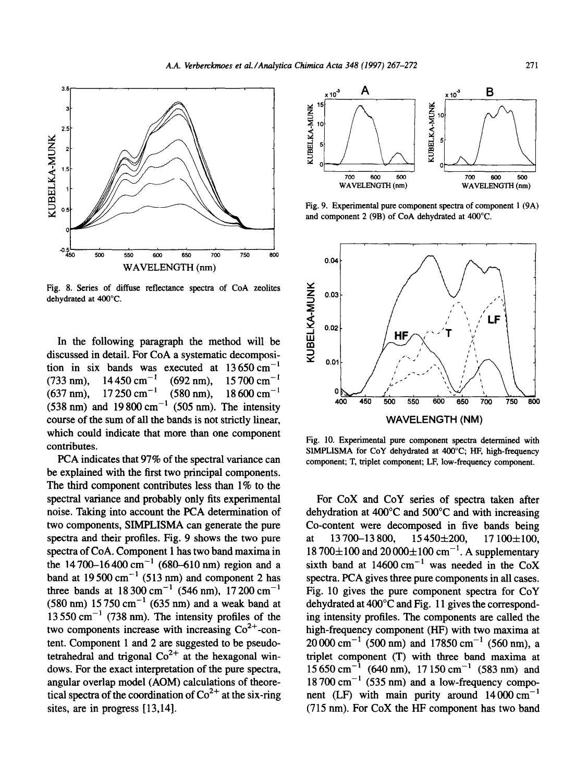

Fig. 8. Series of diffuse reflectance spectra of CoA zeolites dehydrated at 400°C.

In the following paragraph **the** method will be discussed in detail. For CoA a systematic decomposition in six bands was executed at  $13650 \text{ cm}^{-1}$ (733 nm),  $14\,450\,\text{cm}^{-1}$  (692 nm),  $15\,700\,\text{cm}^{-1}$ <br>(637 nm),  $17\,250\,\text{cm}^{-1}$  (580 nm),  $18\,600\,\text{cm}^{-1}$  $(637 \text{ nm})$ , 17 250 cm<sup>-1</sup>  $(580 \text{ nm})$ , 18 600 cm<sup>-1</sup>  $(538 \text{ nm})$  and  $19800 \text{ cm}^{-1}$   $(505 \text{ nm})$ . The intensity course of the sum of all the bands is not strictly linear, which could indicate that more than one component contributes.

PCA indicates that 97% of the spectral variance can be explained with the first two principal components. The third component contributes less than 1% to the spectral variance and probably only fits experimental noise. Taking into account the PCA determination of two components, SIMPLISMA can generate the pure spectra and their profiles. Fig. 9 shows the two pure spectra of CoA. Component 1 has two band maxima in the 14700-16400 cm<sup>-1</sup> (680-610 nm) region and a band at  $19500 \text{ cm}^{-1}$  (513 nm) and component 2 has three bands at  $18300 \text{ cm}^{-1}$  (546 nm), 17 200 cm<sup>-1</sup>  $(580 \text{ nm})$  15750 cm<sup>-1</sup> (635 nm) and a weak band at  $13550 \text{ cm}^{-1}$  (738 nm). The intensity profiles of the two components increase with increasing  $Co<sup>2+</sup>$ -content. Component 1 and 2 are suggested to be pseudotetrahedral and trigonal  $Co^{2+}$  at the hexagonal windows. For the exact interpretation of the pure spectra, angular overlap model (AOM) calculations of theoretical spectra of the coordination of  $\text{Co}^{2+}$  at the six-ring sites, are in progress [13,14].



Fig. 9. Experimental pure component spectra of component 1 (9A) and component 2 (9B) of CoA dehydrated at 400°C.



Fig. 10. Experimental pure component spectra determined with SIMPLISMA for CoY dehydrated at 400°C; HF, high-frequency component; T, triplet component; LF, low-frequency component.

For CoX and COY series of spectra taken after dehydration at 400°C and 500°C and with increasing Co-content were decomposed in five bands being<br>at  $13700-13800$ ,  $15450\pm200$ ,  $17100\pm100$ , at 13 700–13 800, 15 450 $\pm$ 200, 17 100 $\pm$ 100,  $18700\pm100$  and  $20000\pm100$  cm<sup>--</sup>. A supplementary sixth band at  $14600 \text{ cm}^{-1}$  was needed in the CoX spectra. PCA gives three pure components in all cases. Fig. 10 gives the pure component spectra for COY dehydrated at 400°C and Fig. 11 gives the corresponding intensity profiles. The components are called the high-frequency component (HF) with two maxima at  $20000 \text{ cm}^{-1}$  (500 nm) and 17850 cm<sup>-1</sup> (560 nm), a triplet component (T) with three band maxima at  $15650 \text{ cm}^{-1}$  (640 nm), 17 150 cm<sup>-1</sup> (583 nm) and  $18700 \text{ cm}^{-1}$  (535 nm) and a low-frequency component (LF) with main purity around  $14000 \text{ cm}^{-1}$  $(715 \text{ nm})$ . For CoX the HF component has two band